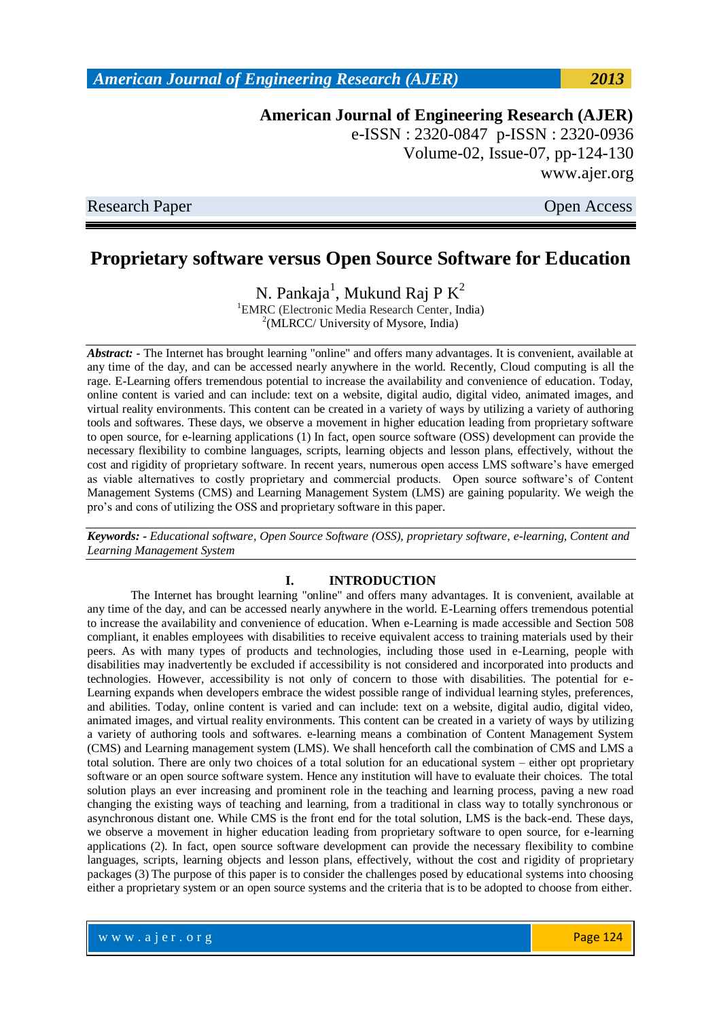**American Journal of Engineering Research (AJER)** e-ISSN : 2320-0847 p-ISSN : 2320-0936 Volume-02, Issue-07, pp-124-130 www.ajer.org

Research Paper **Open Access** 

## **Proprietary software versus Open Source Software for Education**

N. Pankaja<sup>1</sup>, Mukund Raj P $K^2$ 

<sup>1</sup>EMRC (Electronic Media Research Center, India) <sup>2</sup>(MLRCC/ University of Mysore, India)

*Abstract: -* The Internet has brought learning "online" and offers many advantages. It is convenient, available at any time of the day, and can be accessed nearly anywhere in the world. Recently, Cloud computing is all the rage. E-Learning offers tremendous potential to increase the availability and convenience of education. Today, online content is varied and can include: text on a website, digital audio, digital video, animated images, and virtual reality environments. This content can be created in a variety of ways by utilizing a variety of authoring tools and softwares. These days, we observe a movement in higher education leading from proprietary software to open source, for e-learning applications (1) In fact, open source software (OSS) development can provide the necessary flexibility to combine languages, scripts, learning objects and lesson plans, effectively, without the cost and rigidity of proprietary software. In recent years, numerous open access LMS software"s have emerged as viable alternatives to costly proprietary and commercial products. Open source software"s of Content Management Systems (CMS) and Learning Management System (LMS) are gaining popularity. We weigh the pro"s and cons of utilizing the OSS and proprietary software in this paper.

*Keywords: - Educational software, Open Source Software (OSS), proprietary software, e-learning, Content and Learning Management System*

#### **I. INTRODUCTION**

The Internet has brought learning "online" and offers many advantages. It is convenient, available at any time of the day, and can be accessed nearly anywhere in the world. E-Learning offers tremendous potential to increase the availability and convenience of education. When e-Learning is made accessible and Section 508 compliant, it enables employees with disabilities to receive equivalent access to training materials used by their peers. As with many types of products and technologies, including those used in e-Learning, people with disabilities may inadvertently be excluded if accessibility is not considered and incorporated into products and technologies. However, accessibility is not only of concern to those with disabilities. The potential for e-Learning expands when developers embrace the widest possible range of individual learning styles, preferences, and abilities. Today, online content is varied and can include: text on a website, digital audio, digital video, animated images, and virtual reality environments. This content can be created in a variety of ways by utilizing a variety of authoring tools and softwares. e-learning means a combination of Content Management System (CMS) and Learning management system (LMS). We shall henceforth call the combination of CMS and LMS a total solution. There are only two choices of a total solution for an educational system – either opt proprietary software or an open source software system. Hence any institution will have to evaluate their choices. The total solution plays an ever increasing and prominent role in the teaching and learning process, paving a new road changing the existing ways of teaching and learning, from a traditional in class way to totally synchronous or asynchronous distant one. While CMS is the front end for the total solution, LMS is the back-end. These days, we observe a movement in higher education leading from proprietary software to open source, for e-learning applications (2). In fact, open source software development can provide the necessary flexibility to combine languages, scripts, learning objects and lesson plans, effectively, without the cost and rigidity of proprietary packages (3) The purpose of this paper is to consider the challenges posed by educational systems into choosing either a proprietary system or an open source systems and the criteria that is to be adopted to choose from either.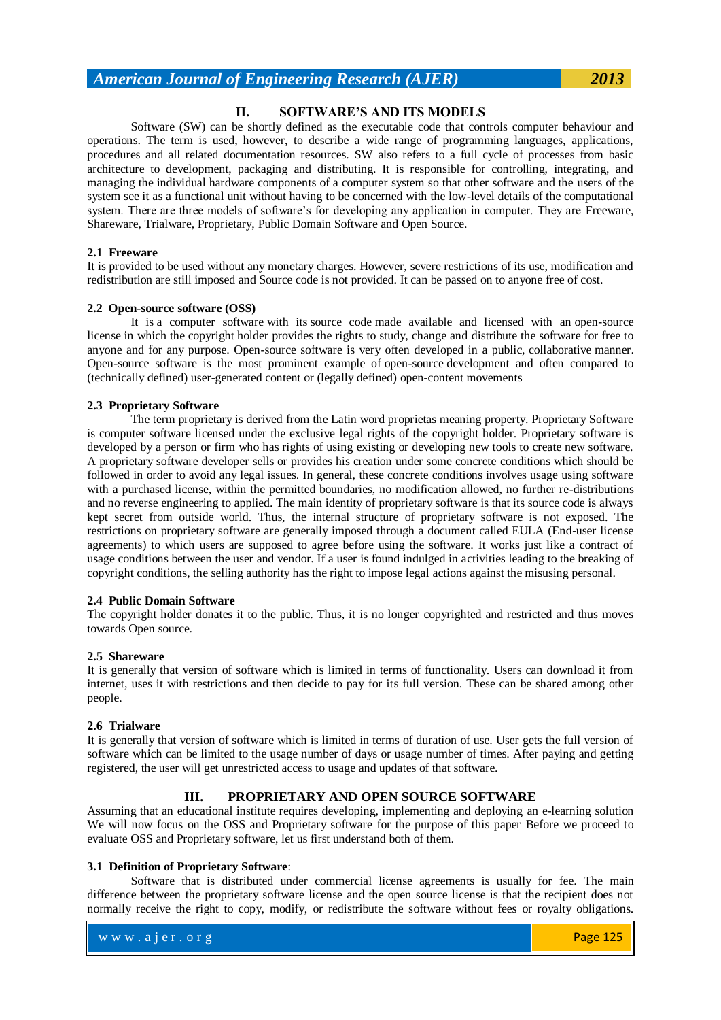#### **II. SOFTWARE'S AND ITS MODELS**

Software (SW) can be shortly defined as the executable code that controls computer behaviour and operations. The term is used, however, to describe a wide range of programming languages, applications, procedures and all related documentation resources. SW also refers to a full cycle of processes from basic architecture to development, packaging and distributing. It is responsible for controlling, integrating, and managing the individual hardware components of a computer system so that other software and the users of the system see it as a functional unit without having to be concerned with the low-level details of the computational system. There are three models of software's for developing any application in computer. They are Freeware, Shareware, Trialware, Proprietary, Public Domain Software and Open Source.

#### **2.1 Freeware**

It is provided to be used without any monetary charges. However, severe restrictions of its use, modification and redistribution are still imposed and Source code is not provided. It can be passed on to anyone free of cost.

#### **2.2 Open-source software (OSS)**

It is a computer software with its source code made available and licensed with an open-source license in which the copyright holder provides the rights to study, change and distribute the software for free to anyone and for any purpose. Open-source software is very often developed in a public, collaborative manner. Open-source software is the most prominent example of open-source development and often compared to (technically defined) user-generated content or (legally defined) open-content movements

#### **2.3 Proprietary Software**

The term proprietary is derived from the Latin word proprietas meaning property. Proprietary Software is computer software licensed under the exclusive legal rights of the copyright holder. Proprietary software is developed by a person or firm who has rights of using existing or developing new tools to create new software. A proprietary software developer sells or provides his creation under some concrete conditions which should be followed in order to avoid any legal issues. In general, these concrete conditions involves usage using software with a purchased license, within the permitted boundaries, no modification allowed, no further re-distributions and no reverse engineering to applied. The main identity of proprietary software is that its source code is always kept secret from outside world. Thus, the internal structure of proprietary software is not exposed. The restrictions on proprietary software are generally imposed through a document called EULA (End-user license agreements) to which users are supposed to agree before using the software. It works just like a contract of usage conditions between the user and vendor. If a user is found indulged in activities leading to the breaking of copyright conditions, the selling authority has the right to impose legal actions against the misusing personal.

#### **2.4 Public Domain Software**

The copyright holder donates it to the public. Thus, it is no longer copyrighted and restricted and thus moves towards Open source.

#### **2.5 Shareware**

It is generally that version of software which is limited in terms of functionality. Users can download it from internet, uses it with restrictions and then decide to pay for its full version. These can be shared among other people.

#### **2.6 Trialware**

It is generally that version of software which is limited in terms of duration of use. User gets the full version of software which can be limited to the usage number of days or usage number of times. After paying and getting registered, the user will get unrestricted access to usage and updates of that software.

#### **III. PROPRIETARY AND OPEN SOURCE SOFTWARE**

Assuming that an educational institute requires developing, implementing and deploying an e-learning solution We will now focus on the OSS and Proprietary software for the purpose of this paper Before we proceed to evaluate OSS and Proprietary software, let us first understand both of them.

#### **3.1 Definition of Proprietary Software**:

Software that is distributed under commercial license agreements is usually for fee. The main difference between the proprietary software license and the open source license is that the recipient does not normally receive the right to copy, modify, or redistribute the software without fees or royalty obligations.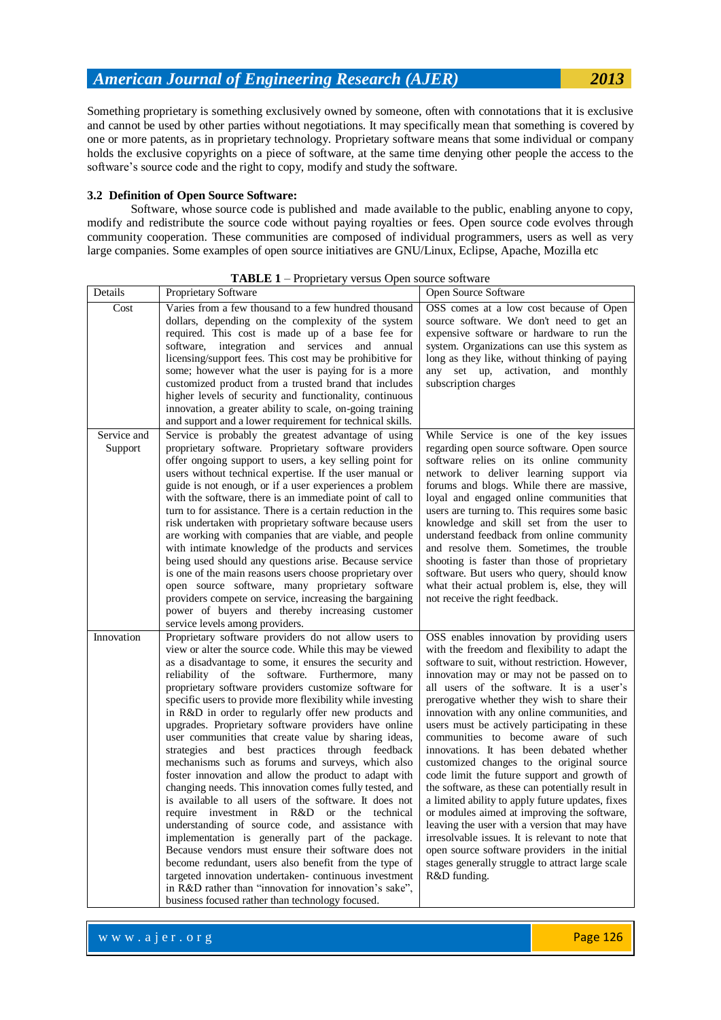Something proprietary is something exclusively owned by someone, often with connotations that it is exclusive and cannot be used by other parties without negotiations. It may specifically mean that something is covered by one or more patents, as in proprietary technology. Proprietary software means that some individual or company holds the exclusive copyrights on a piece of software, at the same time denying other people the access to the software's source code and the right to copy, modify and study the software.

#### **3.2 Definition of Open Source Software:**

Software, whose source code is published and made available to the public, enabling anyone to copy, modify and redistribute the source code without paying royalties or fees. Open source code evolves through community cooperation. These communities are composed of individual programmers, users as well as very large companies. Some examples of open source initiatives are GNU/Linux, Eclipse, Apache, Mozilla etc

| Details     | <b>Proprietary Software</b>                                                                                              | <b>Open Source Software</b>                                                                   |
|-------------|--------------------------------------------------------------------------------------------------------------------------|-----------------------------------------------------------------------------------------------|
| Cost        | Varies from a few thousand to a few hundred thousand                                                                     | OSS comes at a low cost because of Open                                                       |
|             | dollars, depending on the complexity of the system                                                                       | source software. We don't need to get an                                                      |
|             | required. This cost is made up of a base fee for                                                                         | expensive software or hardware to run the                                                     |
|             | software,<br>integration and services and<br>annual<br>licensing/support fees. This cost may be prohibitive for          | system. Organizations can use this system as<br>long as they like, without thinking of paying |
|             | some; however what the user is paying for is a more                                                                      | any set up, activation, and monthly                                                           |
|             | customized product from a trusted brand that includes                                                                    | subscription charges                                                                          |
|             | higher levels of security and functionality, continuous                                                                  |                                                                                               |
|             | innovation, a greater ability to scale, on-going training                                                                |                                                                                               |
|             | and support and a lower requirement for technical skills.                                                                |                                                                                               |
| Service and | Service is probably the greatest advantage of using                                                                      | While Service is one of the key issues                                                        |
| Support     | proprietary software. Proprietary software providers                                                                     | regarding open source software. Open source                                                   |
|             | offer ongoing support to users, a key selling point for                                                                  | software relies on its online community                                                       |
|             | users without technical expertise. If the user manual or                                                                 | network to deliver learning support via                                                       |
|             | guide is not enough, or if a user experiences a problem                                                                  | forums and blogs. While there are massive,                                                    |
|             | with the software, there is an immediate point of call to<br>turn to for assistance. There is a certain reduction in the | loyal and engaged online communities that<br>users are turning to. This requires some basic   |
|             | risk undertaken with proprietary software because users                                                                  | knowledge and skill set from the user to                                                      |
|             | are working with companies that are viable, and people                                                                   | understand feedback from online community                                                     |
|             | with intimate knowledge of the products and services                                                                     | and resolve them. Sometimes, the trouble                                                      |
|             | being used should any questions arise. Because service                                                                   | shooting is faster than those of proprietary                                                  |
|             | is one of the main reasons users choose proprietary over                                                                 | software. But users who query, should know                                                    |
|             | open source software, many proprietary software                                                                          | what their actual problem is, else, they will                                                 |
|             | providers compete on service, increasing the bargaining                                                                  | not receive the right feedback.                                                               |
|             | power of buyers and thereby increasing customer                                                                          |                                                                                               |
| Innovation  | service levels among providers.<br>Proprietary software providers do not allow users to                                  | OSS enables innovation by providing users                                                     |
|             | view or alter the source code. While this may be viewed                                                                  | with the freedom and flexibility to adapt the                                                 |
|             | as a disadvantage to some, it ensures the security and                                                                   | software to suit, without restriction. However,                                               |
|             | reliability of the software. Furthermore, many                                                                           | innovation may or may not be passed on to                                                     |
|             | proprietary software providers customize software for                                                                    | all users of the software. It is a user's                                                     |
|             | specific users to provide more flexibility while investing                                                               | prerogative whether they wish to share their                                                  |
|             | in R&D in order to regularly offer new products and                                                                      | innovation with any online communities, and                                                   |
|             | upgrades. Proprietary software providers have online                                                                     | users must be actively participating in these                                                 |
|             | user communities that create value by sharing ideas,                                                                     | communities to become aware of such                                                           |
|             | strategies and best practices through feedback<br>mechanisms such as forums and surveys, which also                      | innovations. It has been debated whether<br>customized changes to the original source         |
|             | foster innovation and allow the product to adapt with                                                                    | code limit the future support and growth of                                                   |
|             | changing needs. This innovation comes fully tested, and                                                                  | the software, as these can potentially result in                                              |
|             | is available to all users of the software. It does not                                                                   | a limited ability to apply future updates, fixes                                              |
|             | require investment in R&D or the technical                                                                               | or modules aimed at improving the software,                                                   |
|             | understanding of source code, and assistance with                                                                        | leaving the user with a version that may have                                                 |
|             | implementation is generally part of the package.                                                                         | irresolvable issues. It is relevant to note that                                              |
|             | Because vendors must ensure their software does not                                                                      | open source software providers in the initial                                                 |
|             | become redundant, users also benefit from the type of                                                                    | stages generally struggle to attract large scale                                              |
|             | targeted innovation undertaken-continuous investment                                                                     | R&D funding.                                                                                  |
|             | in R&D rather than "innovation for innovation's sake",<br>business focused rather than technology focused.               |                                                                                               |
|             |                                                                                                                          |                                                                                               |

#### **TABLE 1** – Proprietary versus Open source software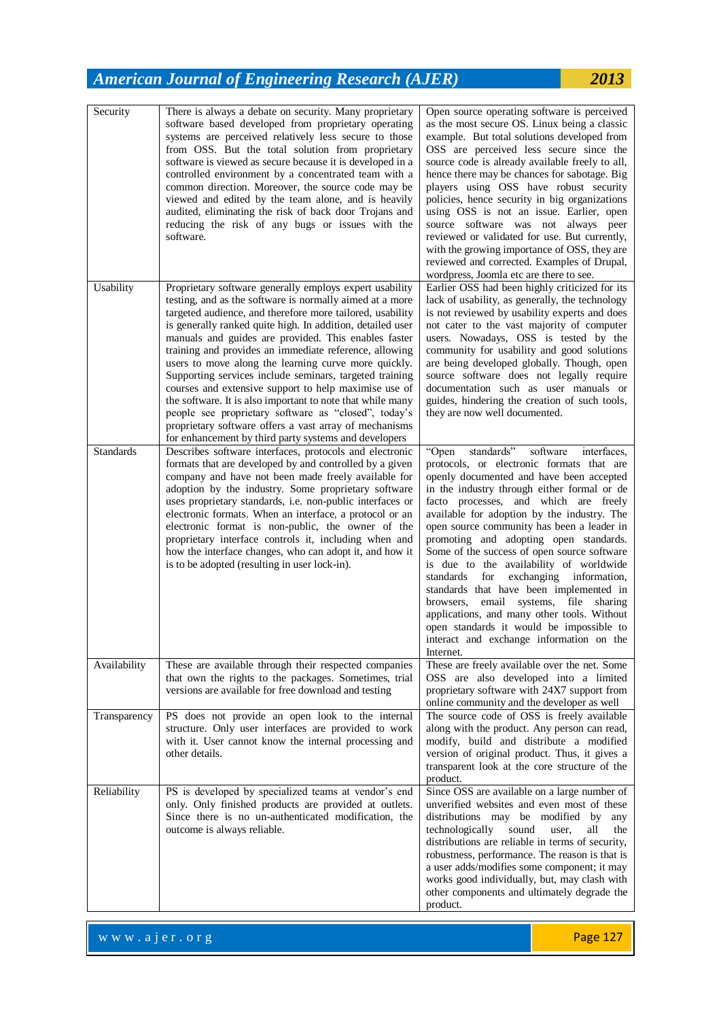| Security     | There is always a debate on security. Many proprietary<br>software based developed from proprietary operating<br>systems are perceived relatively less secure to those<br>from OSS. But the total solution from proprietary<br>software is viewed as secure because it is developed in a<br>controlled environment by a concentrated team with a<br>common direction. Moreover, the source code may be<br>viewed and edited by the team alone, and is heavily<br>audited, eliminating the risk of back door Trojans and<br>reducing the risk of any bugs or issues with the<br>software.                                                                                                                                                                                              | Open source operating software is perceived<br>as the most secure OS. Linux being a classic<br>example. But total solutions developed from<br>OSS are perceived less secure since the<br>source code is already available freely to all,<br>hence there may be chances for sabotage. Big<br>players using OSS have robust security<br>policies, hence security in big organizations<br>using OSS is not an issue. Earlier, open<br>source software was not always peer<br>reviewed or validated for use. But currently,<br>with the growing importance of OSS, they are<br>reviewed and corrected. Examples of Drupal,<br>wordpress, Joomla etc are there to see.                                                                                          |
|--------------|---------------------------------------------------------------------------------------------------------------------------------------------------------------------------------------------------------------------------------------------------------------------------------------------------------------------------------------------------------------------------------------------------------------------------------------------------------------------------------------------------------------------------------------------------------------------------------------------------------------------------------------------------------------------------------------------------------------------------------------------------------------------------------------|------------------------------------------------------------------------------------------------------------------------------------------------------------------------------------------------------------------------------------------------------------------------------------------------------------------------------------------------------------------------------------------------------------------------------------------------------------------------------------------------------------------------------------------------------------------------------------------------------------------------------------------------------------------------------------------------------------------------------------------------------------|
| Usability    | Proprietary software generally employs expert usability<br>testing, and as the software is normally aimed at a more<br>targeted audience, and therefore more tailored, usability<br>is generally ranked quite high. In addition, detailed user<br>manuals and guides are provided. This enables faster<br>training and provides an immediate reference, allowing<br>users to move along the learning curve more quickly.<br>Supporting services include seminars, targeted training<br>courses and extensive support to help maximise use of<br>the software. It is also important to note that while many<br>people see proprietary software as "closed", today's<br>proprietary software offers a vast array of mechanisms<br>for enhancement by third party systems and developers | Earlier OSS had been highly criticized for its<br>lack of usability, as generally, the technology<br>is not reviewed by usability experts and does<br>not cater to the vast majority of computer<br>users. Nowadays, OSS is tested by the<br>community for usability and good solutions<br>are being developed globally. Though, open<br>source software does not legally require<br>documentation such as user manuals or<br>guides, hindering the creation of such tools,<br>they are now well documented.                                                                                                                                                                                                                                               |
| Standards    | Describes software interfaces, protocols and electronic<br>formats that are developed by and controlled by a given<br>company and have not been made freely available for<br>adoption by the industry. Some proprietary software<br>uses proprietary standards, i.e. non-public interfaces or<br>electronic formats. When an interface, a protocol or an<br>electronic format is non-public, the owner of the<br>proprietary interface controls it, including when and<br>how the interface changes, who can adopt it, and how it<br>is to be adopted (resulting in user lock-in).                                                                                                                                                                                                    | standards"<br>software<br>"Open<br>interfaces,<br>protocols, or electronic formats that are<br>openly documented and have been accepted<br>in the industry through either formal or de<br>facto processes, and which are freely<br>available for adoption by the industry. The<br>open source community has been a leader in<br>promoting and adopting open standards.<br>Some of the success of open source software<br>is due to the availability of worldwide<br>exchanging information,<br>standards<br>for<br>standards that have been implemented in<br>browsers,<br>email systems, file sharing<br>applications, and many other tools. Without<br>open standards it would be impossible to<br>interact and exchange information on the<br>Internet. |
| Availability | These are available through their respected companies<br>that own the rights to the packages. Sometimes, trial<br>versions are available for free download and testing                                                                                                                                                                                                                                                                                                                                                                                                                                                                                                                                                                                                                | These are freely available over the net. Some<br>OSS are also developed into a limited<br>proprietary software with 24X7 support from<br>online community and the developer as well                                                                                                                                                                                                                                                                                                                                                                                                                                                                                                                                                                        |
| Transparency | PS does not provide an open look to the internal<br>structure. Only user interfaces are provided to work<br>with it. User cannot know the internal processing and<br>other details.                                                                                                                                                                                                                                                                                                                                                                                                                                                                                                                                                                                                   | The source code of OSS is freely available<br>along with the product. Any person can read,<br>modify, build and distribute a modified<br>version of original product. Thus, it gives a<br>transparent look at the core structure of the<br>product.                                                                                                                                                                                                                                                                                                                                                                                                                                                                                                        |
| Reliability  | PS is developed by specialized teams at vendor's end<br>only. Only finished products are provided at outlets.<br>Since there is no un-authenticated modification, the<br>outcome is always reliable.                                                                                                                                                                                                                                                                                                                                                                                                                                                                                                                                                                                  | Since OSS are available on a large number of<br>unverified websites and even most of these<br>distributions may be modified by<br>any<br>technologically sound<br>all<br>user,<br>the<br>distributions are reliable in terms of security,<br>robustness, performance. The reason is that is<br>a user adds/modifies some component; it may<br>works good individually, but, may clash with<br>other components and ultimately degrade the<br>product.                                                                                                                                                                                                                                                                                                      |

www.ajer.org Page 127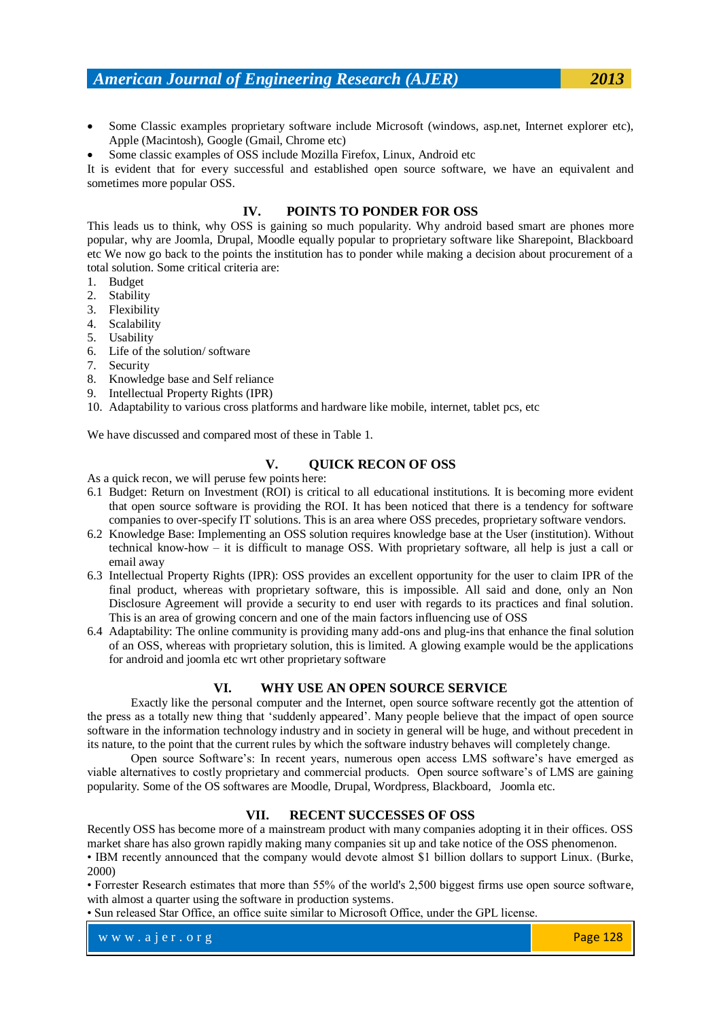- Some Classic examples proprietary software include Microsoft (windows, asp.net, Internet explorer etc), Apple (Macintosh), Google (Gmail, Chrome etc)
- Some classic examples of OSS include Mozilla Firefox, Linux, Android etc

It is evident that for every successful and established open source software, we have an equivalent and sometimes more popular OSS.

#### **IV. POINTS TO PONDER FOR OSS**

This leads us to think, why OSS is gaining so much popularity. Why android based smart are phones more popular, why are Joomla, Drupal, Moodle equally popular to proprietary software like Sharepoint, Blackboard etc We now go back to the points the institution has to ponder while making a decision about procurement of a total solution. Some critical criteria are:

- 1. Budget
- 2. Stability
- 3. Flexibility
- 4. Scalability
- 5. Usability
- 6. Life of the solution/ software
- 7. Security
- 8. Knowledge base and Self reliance
- 9. Intellectual Property Rights (IPR)
- 10. Adaptability to various cross platforms and hardware like mobile, internet, tablet pcs, etc

We have discussed and compared most of these in Table 1.

#### **V. QUICK RECON OF OSS**

As a quick recon, we will peruse few points here:

- 6.1 Budget: Return on Investment (ROI) is critical to all educational institutions. It is becoming more evident that open source software is providing the ROI. It has been noticed that there is a tendency for software companies to over-specify IT solutions. This is an area where OSS precedes, proprietary software vendors.
- 6.2 Knowledge Base: Implementing an OSS solution requires knowledge base at the User (institution). Without technical know-how – it is difficult to manage OSS. With proprietary software, all help is just a call or email away
- 6.3 Intellectual Property Rights (IPR): OSS provides an excellent opportunity for the user to claim IPR of the final product, whereas with proprietary software, this is impossible. All said and done, only an Non Disclosure Agreement will provide a security to end user with regards to its practices and final solution. This is an area of growing concern and one of the main factors influencing use of OSS
- 6.4 Adaptability: The online community is providing many add-ons and plug-ins that enhance the final solution of an OSS, whereas with proprietary solution, this is limited. A glowing example would be the applications for android and joomla etc wrt other proprietary software

#### **VI. WHY USE AN OPEN SOURCE SERVICE**

Exactly like the personal computer and the Internet, open source software recently got the attention of the press as a totally new thing that "suddenly appeared". Many people believe that the impact of open source software in the information technology industry and in society in general will be huge, and without precedent in its nature, to the point that the current rules by which the software industry behaves will completely change.

Open source Software"s: In recent years, numerous open access LMS software"s have emerged as viable alternatives to costly proprietary and commercial products. Open source software"s of LMS are gaining popularity. Some of the OS softwares are Moodle, Drupal, Wordpress, Blackboard, Joomla etc.

### **VII. RECENT SUCCESSES OF OSS**

Recently OSS has become more of a mainstream product with many companies adopting it in their offices. OSS market share has also grown rapidly making many companies sit up and take notice of the OSS phenomenon.

• IBM recently announced that the company would devote almost \$1 billion dollars to support Linux. (Burke, 2000)

• Forrester Research estimates that more than 55% of the world's 2,500 biggest firms use open source software, with almost a quarter using the software in production systems.

• Sun released Star Office, an office suite similar to Microsoft Office, under the GPL license.

w w w . a jer. or g Page 128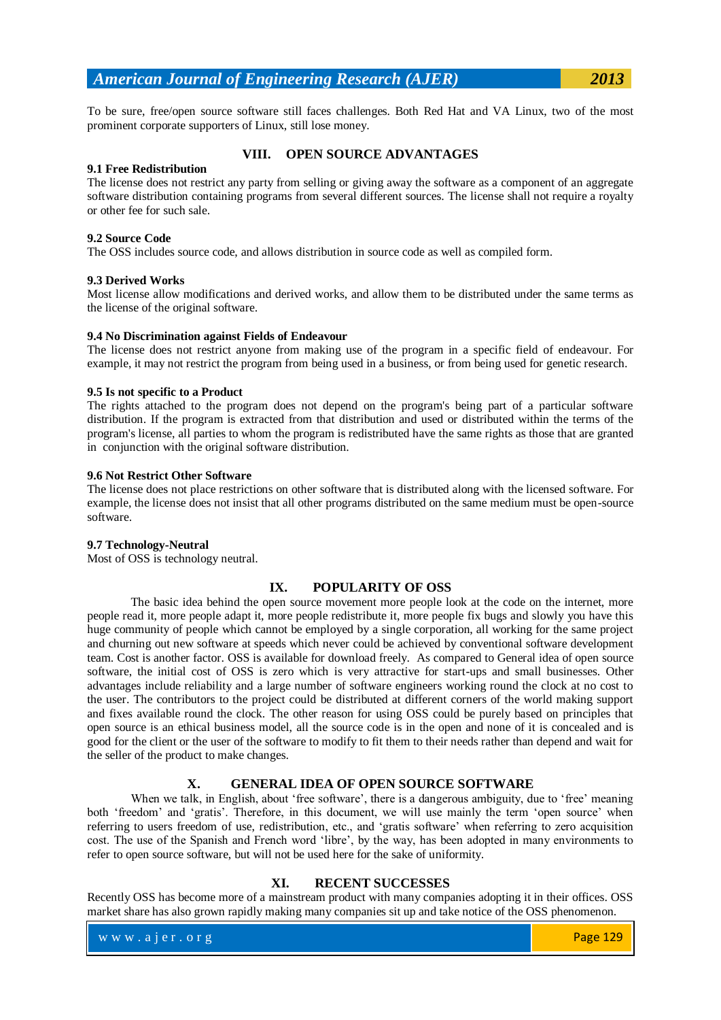To be sure, free/open source software still faces challenges. Both Red Hat and VA Linux, two of the most prominent corporate supporters of Linux, still lose money.

#### **VIII. OPEN SOURCE ADVANTAGES**

#### **9.1 Free Redistribution**

The license does not restrict any party from selling or giving away the software as a component of an aggregate software distribution containing programs from several different sources. The license shall not require a royalty or other fee for such sale.

#### **9.2 Source Code**

The OSS includes source code, and allows distribution in source code as well as compiled form.

### **9.3 Derived Works**

Most license allow modifications and derived works, and allow them to be distributed under the same terms as the license of the original software.

### **9.4 No Discrimination against Fields of Endeavour**

The license does not restrict anyone from making use of the program in a specific field of endeavour. For example, it may not restrict the program from being used in a business, or from being used for genetic research.

### **9.5 Is not specific to a Product**

The rights attached to the program does not depend on the program's being part of a particular software distribution. If the program is extracted from that distribution and used or distributed within the terms of the program's license, all parties to whom the program is redistributed have the same rights as those that are granted in conjunction with the original software distribution.

### **9.6 Not Restrict Other Software**

The license does not place restrictions on other software that is distributed along with the licensed software. For example, the license does not insist that all other programs distributed on the same medium must be open-source software.

### **9.7 Technology-Neutral**

Most of OSS is technology neutral.

### **IX. POPULARITY OF OSS**

The basic idea behind the open source movement more people look at the code on the internet, more people read it, more people adapt it, more people redistribute it, more people fix bugs and slowly you have this huge community of people which cannot be employed by a single corporation, all working for the same project and churning out new software at speeds which never could be achieved by conventional software development team. Cost is another factor. OSS is available for download freely. As compared to General idea of open source software, the initial cost of OSS is zero which is very attractive for start-ups and small businesses. Other advantages include reliability and a large number of software engineers working round the clock at no cost to the user. The contributors to the project could be distributed at different corners of the world making support and fixes available round the clock. The other reason for using OSS could be purely based on principles that open source is an ethical business model, all the source code is in the open and none of it is concealed and is good for the client or the user of the software to modify to fit them to their needs rather than depend and wait for the seller of the product to make changes.

### **X. GENERAL IDEA OF OPEN SOURCE SOFTWARE**

When we talk, in English, about 'free software', there is a dangerous ambiguity, due to 'free' meaning both 'freedom' and 'gratis'. Therefore, in this document, we will use mainly the term 'open source' when referring to users freedom of use, redistribution, etc., and "gratis software" when referring to zero acquisition cost. The use of the Spanish and French word "libre", by the way, has been adopted in many environments to refer to open source software, but will not be used here for the sake of uniformity.

### **XI. RECENT SUCCESSES**

Recently OSS has become more of a mainstream product with many companies adopting it in their offices. OSS market share has also grown rapidly making many companies sit up and take notice of the OSS phenomenon.